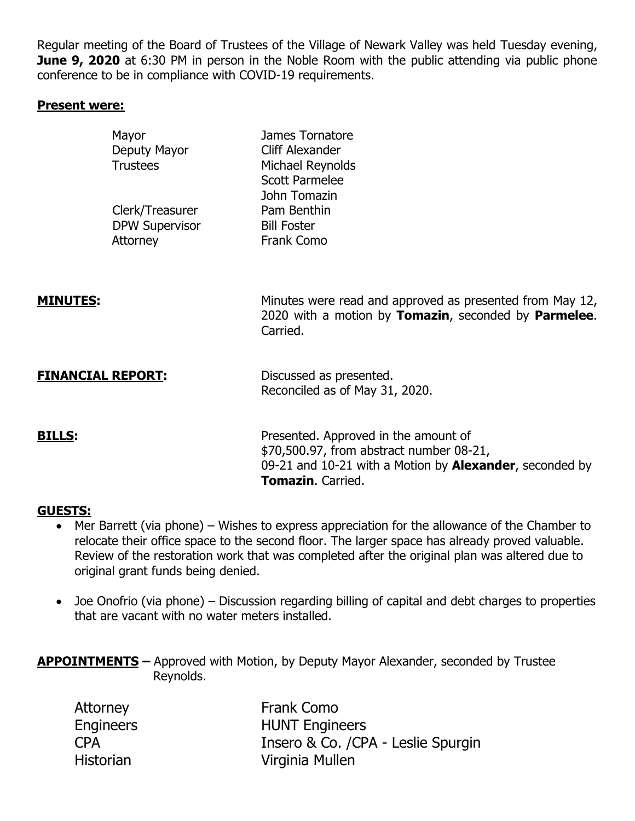Regular meeting of the Board of Trustees of the Village of Newark Valley was held Tuesday evening, **June 9, 2020** at 6:30 PM in person in the Noble Room with the public attending via public phone conference to be in compliance with COVID-19 requirements.

## **Present were:**

|                 | Mayor<br>Deputy Mayor<br><b>Trustees</b>             | James Tornatore<br>Cliff Alexander<br>Michael Reynolds<br><b>Scott Parmelee</b><br>John Tomazin                                                                          |
|-----------------|------------------------------------------------------|--------------------------------------------------------------------------------------------------------------------------------------------------------------------------|
|                 | Clerk/Treasurer<br><b>DPW Supervisor</b><br>Attorney | Pam Benthin<br><b>Bill Foster</b><br>Frank Como                                                                                                                          |
| <b>MINUTES:</b> |                                                      | Minutes were read and approved as presented from May 12,<br>2020 with a motion by Tomazin, seconded by Parmelee.<br>Carried.                                             |
|                 | <b>FINANCIAL REPORT:</b>                             | Discussed as presented.<br>Reconciled as of May 31, 2020.                                                                                                                |
| <b>BILLS:</b>   |                                                      | Presented. Approved in the amount of<br>\$70,500.97, from abstract number 08-21,<br>09-21 and 10-21 with a Motion by Alexander, seconded by<br><b>Tomazin</b> . Carried. |

### **GUESTS:**

- Mer Barrett (via phone) Wishes to express appreciation for the allowance of the Chamber to relocate their office space to the second floor. The larger space has already proved valuable. Review of the restoration work that was completed after the original plan was altered due to original grant funds being denied.
- Joe Onofrio (via phone) Discussion regarding billing of capital and debt charges to properties that are vacant with no water meters installed.

**APPOINTMENTS –** Approved with Motion, by Deputy Mayor Alexander, seconded by Trustee Reynolds.

| Attorney         | Frank Como                         |
|------------------|------------------------------------|
| <b>Engineers</b> | <b>HUNT Engineers</b>              |
| <b>CPA</b>       | Insero & Co. /CPA - Leslie Spurgin |
| <b>Historian</b> | Virginia Mullen                    |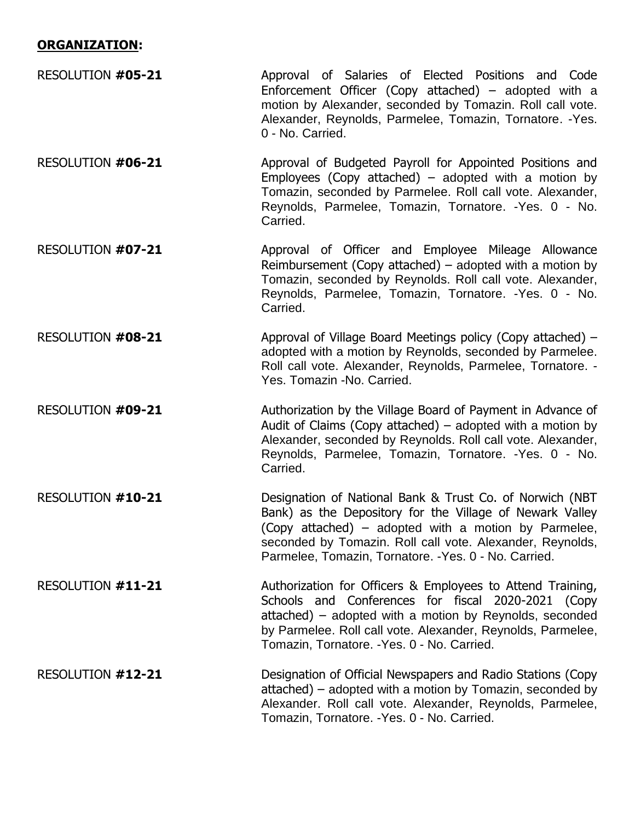# **ORGANIZATION:**

| RESOLUTION #05-21 | Approval of Salaries of Elected Positions and Code<br>Enforcement Officer (Copy attached) $-$ adopted with a<br>motion by Alexander, seconded by Tomazin. Roll call vote.<br>Alexander, Reynolds, Parmelee, Tomazin, Tornatore. - Yes.<br>0 - No. Carried.                                         |
|-------------------|----------------------------------------------------------------------------------------------------------------------------------------------------------------------------------------------------------------------------------------------------------------------------------------------------|
| RESOLUTION #06-21 | Approval of Budgeted Payroll for Appointed Positions and<br>Employees (Copy attached) – adopted with a motion by<br>Tomazin, seconded by Parmelee. Roll call vote. Alexander,<br>Reynolds, Parmelee, Tomazin, Tornatore. - Yes. 0 - No.<br>Carried.                                                |
| RESOLUTION #07-21 | Approval of Officer and Employee Mileage Allowance<br>Reimbursement (Copy attached) $-$ adopted with a motion by<br>Tomazin, seconded by Reynolds. Roll call vote. Alexander,<br>Reynolds, Parmelee, Tomazin, Tornatore. - Yes. 0 - No.<br>Carried.                                                |
| RESOLUTION #08-21 | Approval of Village Board Meetings policy (Copy attached) –<br>adopted with a motion by Reynolds, seconded by Parmelee.<br>Roll call vote. Alexander, Reynolds, Parmelee, Tornatore. -<br>Yes. Tomazin -No. Carried.                                                                               |
| RESOLUTION #09-21 | Authorization by the Village Board of Payment in Advance of<br>Audit of Claims (Copy attached) $-$ adopted with a motion by<br>Alexander, seconded by Reynolds. Roll call vote. Alexander,<br>Reynolds, Parmelee, Tomazin, Tornatore. - Yes. 0 - No.<br>Carried.                                   |
| RESOLUTION #10-21 | Designation of National Bank & Trust Co. of Norwich (NBT<br>Bank) as the Depository for the Village of Newark Valley<br>(Copy attached) – adopted with a motion by Parmelee,<br>seconded by Tomazin. Roll call vote. Alexander, Reynolds,<br>Parmelee, Tomazin, Tornatore. - Yes. 0 - No. Carried. |
| RESOLUTION #11-21 | Authorization for Officers & Employees to Attend Training,<br>Schools and Conferences for fiscal 2020-2021 (Copy<br>attached) – adopted with a motion by Reynolds, seconded<br>by Parmelee. Roll call vote. Alexander, Reynolds, Parmelee,<br>Tomazin, Tornatore. - Yes. 0 - No. Carried.          |
| RESOLUTION #12-21 | Designation of Official Newspapers and Radio Stations (Copy)<br>attached) – adopted with a motion by Tomazin, seconded by<br>Alexander. Roll call vote. Alexander, Reynolds, Parmelee,<br>Tomazin, Tornatore. - Yes. 0 - No. Carried.                                                              |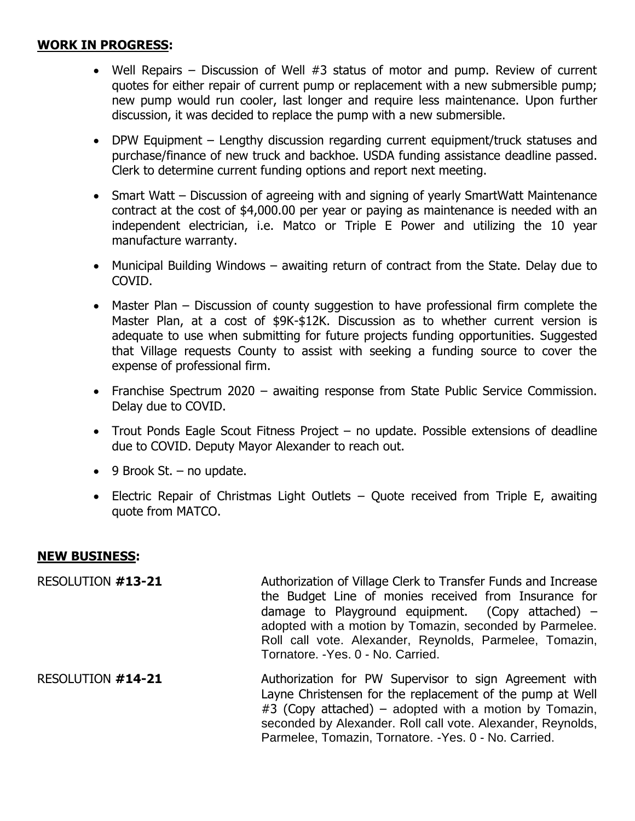## **WORK IN PROGRESS:**

- Well Repairs Discussion of Well #3 status of motor and pump. Review of current quotes for either repair of current pump or replacement with a new submersible pump; new pump would run cooler, last longer and require less maintenance. Upon further discussion, it was decided to replace the pump with a new submersible.
- DPW Equipment Lengthy discussion regarding current equipment/truck statuses and purchase/finance of new truck and backhoe. USDA funding assistance deadline passed. Clerk to determine current funding options and report next meeting.
- Smart Watt Discussion of agreeing with and signing of yearly SmartWatt Maintenance contract at the cost of \$4,000.00 per year or paying as maintenance is needed with an independent electrician, i.e. Matco or Triple E Power and utilizing the 10 year manufacture warranty.
- Municipal Building Windows awaiting return of contract from the State. Delay due to COVID.
- Master Plan Discussion of county suggestion to have professional firm complete the Master Plan, at a cost of \$9K-\$12K. Discussion as to whether current version is adequate to use when submitting for future projects funding opportunities. Suggested that Village requests County to assist with seeking a funding source to cover the expense of professional firm.
- Franchise Spectrum 2020 awaiting response from State Public Service Commission. Delay due to COVID.
- Trout Ponds Eagle Scout Fitness Project no update. Possible extensions of deadline due to COVID. Deputy Mayor Alexander to reach out.
- $\bullet$  9 Brook St. no update.
- Electric Repair of Christmas Light Outlets Quote received from Triple E, awaiting quote from MATCO.

### **NEW BUSINESS:**

RESOLUTION **#13-21** Authorization of Village Clerk to Transfer Funds and Increase the Budget Line of monies received from Insurance for damage to Playground equipment. (Copy attached)  $$ adopted with a motion by Tomazin, seconded by Parmelee. Roll call vote. Alexander, Reynolds, Parmelee, Tomazin, Tornatore. -Yes. 0 - No. Carried.

RESOLUTION **#14-21** Authorization for PW Supervisor to sign Agreement with Layne Christensen for the replacement of the pump at Well #3 (Copy attached) – adopted with a motion by Tomazin, seconded by Alexander. Roll call vote. Alexander, Reynolds, Parmelee, Tomazin, Tornatore. -Yes. 0 - No. Carried.